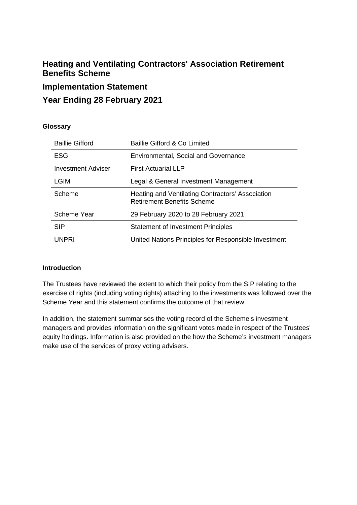# **Heating and Ventilating Contractors' Association Retirement Benefits Scheme**

### **Implementation Statement**

## **Year Ending 28 February 2021**

### **Glossary**

| Baillie Gifford & Co Limited                                                          |
|---------------------------------------------------------------------------------------|
| <b>Environmental, Social and Governance</b>                                           |
| <b>First Actuarial LLP</b>                                                            |
| Legal & General Investment Management                                                 |
| Heating and Ventilating Contractors' Association<br><b>Retirement Benefits Scheme</b> |
| 29 February 2020 to 28 February 2021                                                  |
| <b>Statement of Investment Principles</b>                                             |
| United Nations Principles for Responsible Investment                                  |
|                                                                                       |

### **Introduction**

The Trustees have reviewed the extent to which their policy from the SIP relating to the exercise of rights (including voting rights) attaching to the investments was followed over the Scheme Year and this statement confirms the outcome of that review.

In addition, the statement summarises the voting record of the Scheme's investment managers and provides information on the significant votes made in respect of the Trustees' equity holdings. Information is also provided on the how the Scheme's investment managers make use of the services of proxy voting advisers.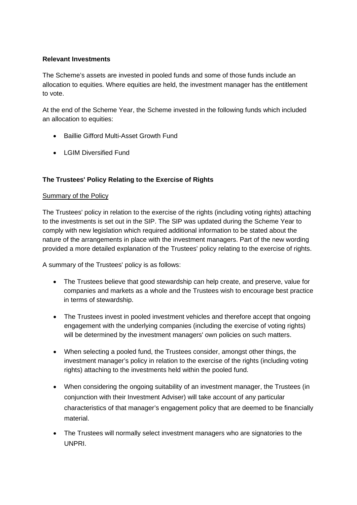### **Relevant Investments**

The Scheme's assets are invested in pooled funds and some of those funds include an allocation to equities. Where equities are held, the investment manager has the entitlement to vote.

At the end of the Scheme Year, the Scheme invested in the following funds which included an allocation to equities:

- Baillie Gifford Multi-Asset Growth Fund
- LGIM Diversified Fund

### **The Trustees' Policy Relating to the Exercise of Rights**

#### Summary of the Policy

The Trustees' policy in relation to the exercise of the rights (including voting rights) attaching to the investments is set out in the SIP. The SIP was updated during the Scheme Year to comply with new legislation which required additional information to be stated about the nature of the arrangements in place with the investment managers. Part of the new wording provided a more detailed explanation of the Trustees' policy relating to the exercise of rights.

A summary of the Trustees' policy is as follows:

- The Trustees believe that good stewardship can help create, and preserve, value for companies and markets as a whole and the Trustees wish to encourage best practice in terms of stewardship.
- The Trustees invest in pooled investment vehicles and therefore accept that ongoing engagement with the underlying companies (including the exercise of voting rights) will be determined by the investment managers' own policies on such matters.
- When selecting a pooled fund, the Trustees consider, amongst other things, the investment manager's policy in relation to the exercise of the rights (including voting rights) attaching to the investments held within the pooled fund.
- When considering the ongoing suitability of an investment manager, the Trustees (in conjunction with their Investment Adviser) will take account of any particular characteristics of that manager's engagement policy that are deemed to be financially material.
- The Trustees will normally select investment managers who are signatories to the UNPRI.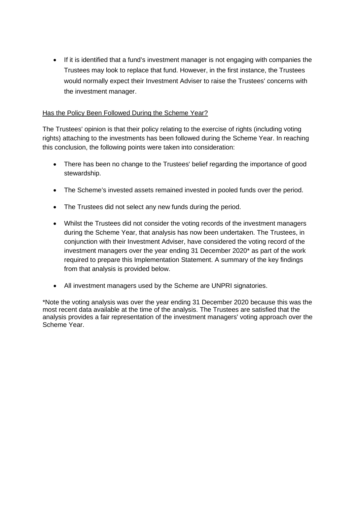• If it is identified that a fund's investment manager is not engaging with companies the Trustees may look to replace that fund. However, in the first instance, the Trustees would normally expect their Investment Adviser to raise the Trustees' concerns with the investment manager.

### Has the Policy Been Followed During the Scheme Year?

The Trustees' opinion is that their policy relating to the exercise of rights (including voting rights) attaching to the investments has been followed during the Scheme Year. In reaching this conclusion, the following points were taken into consideration:

- There has been no change to the Trustees' belief regarding the importance of good stewardship.
- The Scheme's invested assets remained invested in pooled funds over the period.
- The Trustees did not select any new funds during the period.
- Whilst the Trustees did not consider the voting records of the investment managers during the Scheme Year, that analysis has now been undertaken. The Trustees, in conjunction with their Investment Adviser, have considered the voting record of the investment managers over the year ending 31 December 2020\* as part of the work required to prepare this Implementation Statement. A summary of the key findings from that analysis is provided below.
- All investment managers used by the Scheme are UNPRI signatories.

\*Note the voting analysis was over the year ending 31 December 2020 because this was the most recent data available at the time of the analysis. The Trustees are satisfied that the analysis provides a fair representation of the investment managers' voting approach over the Scheme Year.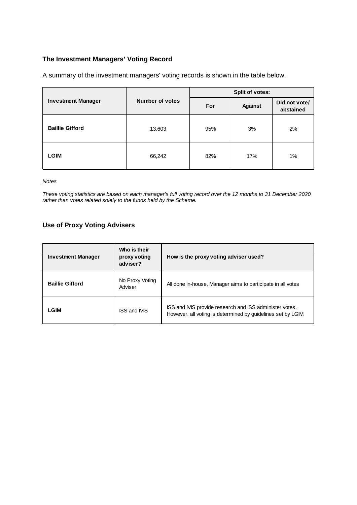### **The Investment Managers' Voting Record**

A summary of the investment managers' voting records is shown in the table below.

| <b>Investment Manager</b> |                        | <b>Split of votes:</b> |                |                            |  |
|---------------------------|------------------------|------------------------|----------------|----------------------------|--|
|                           | <b>Number of votes</b> | For                    | <b>Against</b> | Did not vote/<br>abstained |  |
| <b>Baillie Gifford</b>    | 13,603                 | 95%                    | 3%             | 2%                         |  |
| <b>LGIM</b>               | 66,242                 | 82%                    | 17%            | 1%                         |  |

*Notes* 

*These voting statistics are based on each manager's full voting record over the 12 months to 31 December 2020 rather than votes related solely to the funds held by the Scheme.*

### **Use of Proxy Voting Advisers**

| <b>Investment Manager</b> | Who is their<br>proxy voting<br>adviser? | How is the proxy voting adviser used?                                                                                   |
|---------------------------|------------------------------------------|-------------------------------------------------------------------------------------------------------------------------|
| <b>Baillie Gifford</b>    | No Proxy Voting<br>Adviser               | All done in-house, Manager aims to participate in all votes                                                             |
| LGIM                      | <b>ISS and IVIS</b>                      | ISS and IVIS provide research and ISS administer votes.<br>However, all voting is determined by guidelines set by LGIM. |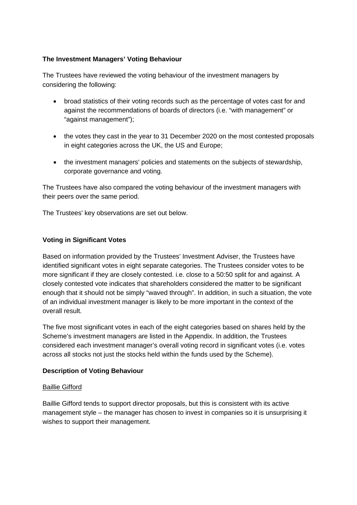### **The Investment Managers' Voting Behaviour**

The Trustees have reviewed the voting behaviour of the investment managers by considering the following:

- broad statistics of their voting records such as the percentage of votes cast for and against the recommendations of boards of directors (i.e. "with management" or "against management");
- the votes they cast in the year to 31 December 2020 on the most contested proposals in eight categories across the UK, the US and Europe;
- the investment managers' policies and statements on the subjects of stewardship, corporate governance and voting.

The Trustees have also compared the voting behaviour of the investment managers with their peers over the same period.

The Trustees' key observations are set out below.

### **Voting in Significant Votes**

Based on information provided by the Trustees' Investment Adviser, the Trustees have identified significant votes in eight separate categories. The Trustees consider votes to be more significant if they are closely contested. i.e. close to a 50:50 split for and against. A closely contested vote indicates that shareholders considered the matter to be significant enough that it should not be simply "waved through". In addition, in such a situation, the vote of an individual investment manager is likely to be more important in the context of the overall result.

The five most significant votes in each of the eight categories based on shares held by the Scheme's investment managers are listed in the Appendix. In addition, the Trustees considered each investment manager's overall voting record in significant votes (i.e. votes across all stocks not just the stocks held within the funds used by the Scheme).

### **Description of Voting Behaviour**

#### Baillie Gifford

Baillie Gifford tends to support director proposals, but this is consistent with its active management style – the manager has chosen to invest in companies so it is unsurprising it wishes to support their management.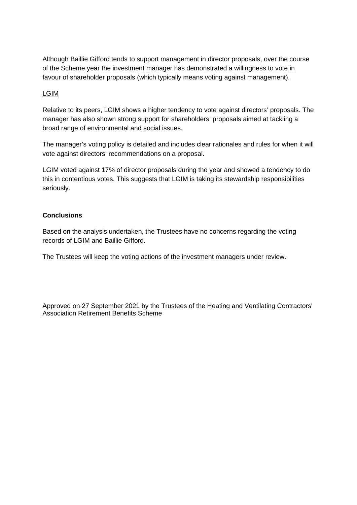Although Baillie Gifford tends to support management in director proposals, over the course of the Scheme year the investment manager has demonstrated a willingness to vote in favour of shareholder proposals (which typically means voting against management).

### LGIM

Relative to its peers, LGIM shows a higher tendency to vote against directors' proposals. The manager has also shown strong support for shareholders' proposals aimed at tackling a broad range of environmental and social issues.

The manager's voting policy is detailed and includes clear rationales and rules for when it will vote against directors' recommendations on a proposal.

LGIM voted against 17% of director proposals during the year and showed a tendency to do this in contentious votes. This suggests that LGIM is taking its stewardship responsibilities seriously.

### **Conclusions**

Based on the analysis undertaken, the Trustees have no concerns regarding the voting records of LGIM and Baillie Gifford.

The Trustees will keep the voting actions of the investment managers under review.

Approved on 27 September 2021 by the Trustees of the Heating and Ventilating Contractors' Association Retirement Benefits Scheme